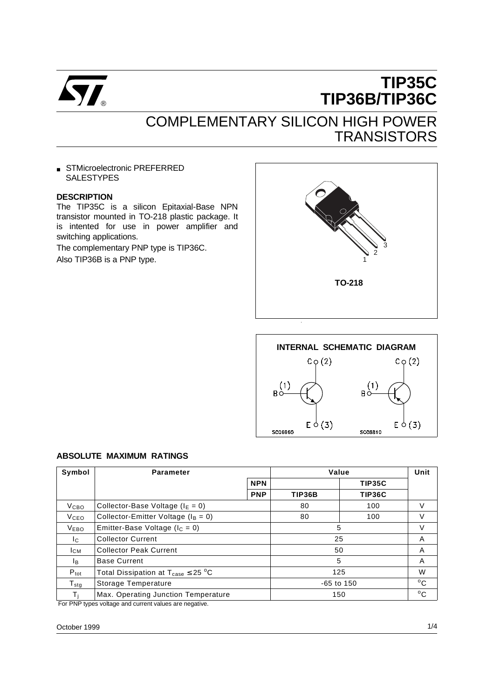

# **TIP35C TIP36B/TIP36C**

# COMPLEMENTARY SILICON HIGH POWER **TRANSISTORS**

■ STMicroelectronic PREFERRED **SALESTYPES** 

#### **DESCRIPTION**

The TIP35C is a silicon Epitaxial-Base NPN transistor mounted in TO-218 plastic package. It is intented for use in power amplifier and switching applications.

The complementary PNP type is TIP36C. Also TIP36B is a PNP type.





#### **ABSOLUTE MAXIMUM RATINGS**

| Symbol                      | <b>Parameter</b>                                          |            | Value  |              |              |
|-----------------------------|-----------------------------------------------------------|------------|--------|--------------|--------------|
|                             |                                                           | <b>NPN</b> |        | TIP35C       |              |
|                             |                                                           | <b>PNP</b> | TIP36B | TIP36C       |              |
| V <sub>CBO</sub>            | Collector-Base Voltage ( $I_E = 0$ )                      |            | 80     | 100          | V            |
| <b>V</b> ceo                | Collector-Emitter Voltage ( $I_B = 0$ )                   |            | 80     | 100          | V            |
| <b>VEBO</b>                 | Emitter-Base Voltage ( $I_c = 0$ )                        |            |        | 5            | V            |
| Ic.                         | <b>Collector Current</b>                                  |            |        | 25           | A            |
| Iсм                         | <b>Collector Peak Current</b>                             |            | 50     |              | A            |
| Iв.                         | <b>Base Current</b>                                       |            |        | 5            | A            |
| $P_{\text{tot}}$            | Total Dissipation at $T_{\text{case}} \leq 25 \text{ °C}$ |            |        | 125          | W            |
| $T_{\rm stg}$               | Storage Temperature                                       |            |        | $-65$ to 150 | $^{\circ}$ C |
| T.<br>$\sim \cdot$ . $\sim$ | Max. Operating Junction Temperature                       |            |        | 150          | $^{\circ}$ C |

For PNP types voltage and current values are negative.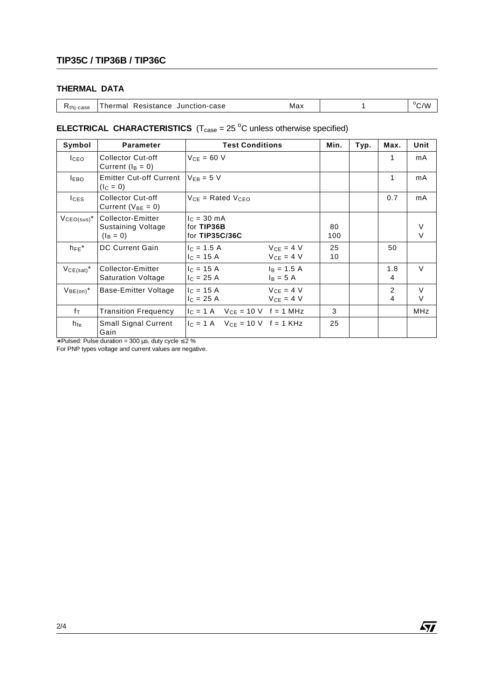## **THERMAL DATA**

| K <sub>thj-case</sub> | Resistance<br>Junction-case<br><sup>-</sup> hermal | Max |  | $\rm ^{o}C/W$ |
|-----------------------|----------------------------------------------------|-----|--|---------------|
|-----------------------|----------------------------------------------------|-----|--|---------------|

### **ELECTRICAL CHARACTERISTICS**  $(T_{\text{case}} = 25 \text{ °C}$  unless otherwise specified)

| Symbol           | <b>Parameter</b>                                       | <b>Test Conditions</b>                                          |           | Min.<br>Typ. | Max.     | Unit        |
|------------------|--------------------------------------------------------|-----------------------------------------------------------------|-----------|--------------|----------|-------------|
| I <sub>CEO</sub> | <b>Collector Cut-off</b><br>Current $(I_B = 0)$        | $V_{CF} = 60 V$                                                 |           |              | 1        | mA          |
| <b>IEBO</b>      | <b>Emitter Cut-off Current</b><br>$(I_C = 0)$          | $V_{FR} = 5 V$                                                  |           |              | 1        | mA          |
| $I_{CES}$        | <b>Collector Cut-off</b><br>Current ( $V_{BE} = 0$ )   | $V_{CF}$ = Rated $V_{CFO}$                                      |           |              | 0.7      | mA          |
| $VCEO(sus)^*$    | Collector-Emitter<br>Sustaining Voltage<br>$(I_B = 0)$ | $c = 30 \text{ mA}$<br>for TIP36B<br>for TIP35C/36C             | 80<br>100 |              |          | $\vee$      |
| $h_{FE}$ *       | <b>DC Current Gain</b>                                 | $V_{CE} = 4 V$<br>$c = 1.5 A$<br>$V_{CF} = 4 V$<br>$I_C = 15 A$ | 25<br>10  |              | 50       |             |
| $VCE(sat)^*$     | Collector-Emitter<br><b>Saturation Voltage</b>         | $I_C = 15 A$<br>$I_B = 1.5 A$<br>$I_B = 5 A$<br>$I_C = 25 A$    |           |              | 1.8<br>4 | $\vee$      |
| $V_{BE(on)}^*$   | Base-Emitter Voltage                                   | $V_{CE} = 4 V$<br>$c = 15 A$<br>$VCF = 4 V$<br>$c = 25 A$       |           |              | 2<br>4   | $\vee$<br>V |
| $f_T$            | <b>Transition Frequency</b>                            | $I_C = 1$ A $V_{CE} = 10$ V f = 1 MHz                           | 3         |              |          | <b>MHz</b>  |
| h <sub>fe</sub>  | <b>Small Signal Current</b><br>Gain                    | $I_C = 1$ A $V_{CF} = 10$ V f = 1 KHz                           | 25        |              |          |             |

∗ Pulsed: Pulse duration = 300 µs, duty cycle ≤ 2 %

For PNP types voltage and current values are negative.

 $\sqrt{27}$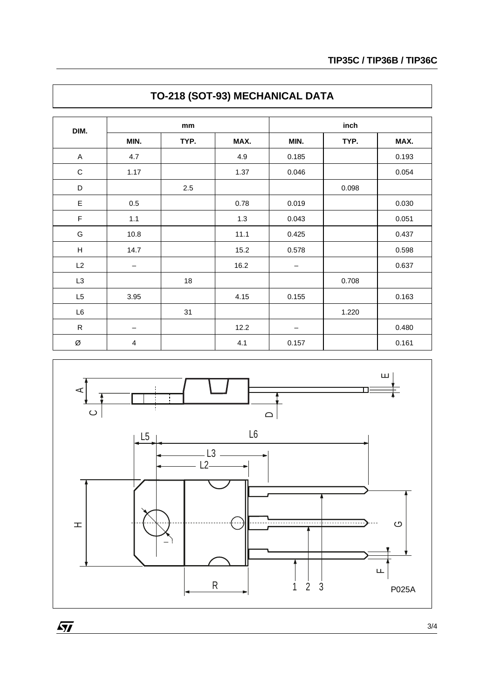| DIM.           | mm                      |        | inch |       |       |       |
|----------------|-------------------------|--------|------|-------|-------|-------|
|                | MIN.                    | TYP.   | MAX. | MIN.  | TYP.  | MAX.  |
| A              | 4.7                     |        | 4.9  | 0.185 |       | 0.193 |
| $\mathbf C$    | 1.17                    |        | 1.37 | 0.046 |       | 0.054 |
| D              |                         | 2.5    |      |       | 0.098 |       |
| E              | 0.5                     |        | 0.78 | 0.019 |       | 0.030 |
| $\mathsf F$    | $1.1$                   |        | 1.3  | 0.043 |       | 0.051 |
| G              | 10.8                    |        | 11.1 | 0.425 |       | 0.437 |
| н              | 14.7                    |        | 15.2 | 0.578 |       | 0.598 |
| L2             | —                       |        | 16.2 |       |       | 0.637 |
| L <sub>3</sub> |                         | $18\,$ |      |       | 0.708 |       |
| L <sub>5</sub> | 3.95                    |        | 4.15 | 0.155 |       | 0.163 |
| L6             |                         | 31     |      |       | 1.220 |       |
| ${\sf R}$      | $\qquad \qquad$         |        | 12.2 | —     |       | 0.480 |
| Ø              | $\overline{\mathbf{4}}$ |        | 4.1  | 0.157 |       | 0.161 |





 $\overline{SI}$